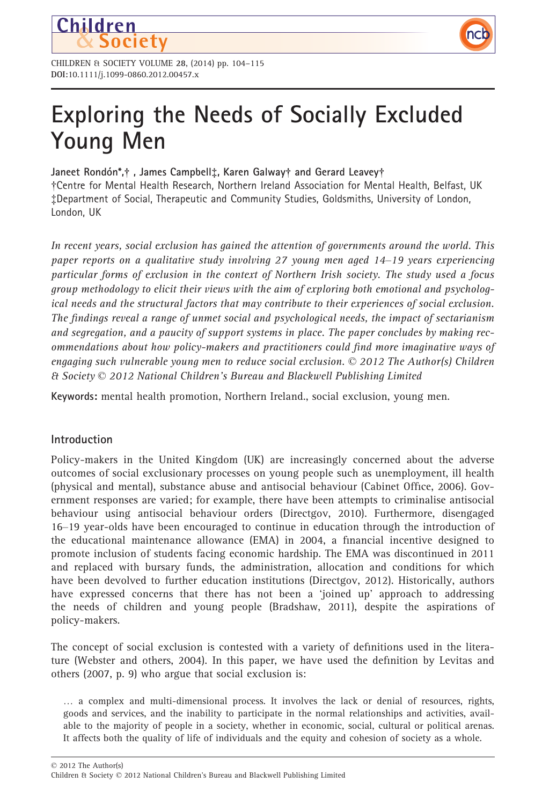



# Exploring the Needs of Socially Excluded Young Men

# Janeet Rondón\*,† , James Campbell‡, Karen Galway† and Gerard Leavey†

†Centre for Mental Health Research, Northern Ireland Association for Mental Health, Belfast, UK ‡Department of Social, Therapeutic and Community Studies, Goldsmiths, University of London, London, UK

In recent years, social exclusion has gained the attention of governments around the world. This paper reports on a qualitative study involving 27 young men aged 14–19 years experiencing particular forms of exclusion in the context of Northern Irish society. The study used a focus group methodology to elicit their views with the aim of exploring both emotional and psychological needs and the structural factors that may contribute to their experiences of social exclusion. The findings reveal a range of unmet social and psychological needs, the impact of sectarianism and segregation, and a paucity of support systems in place. The paper concludes by making recommendations about how policy-makers and practitioners could find more imaginative ways of engaging such vulnerable young men to reduce social exclusion.  $\odot$  2012 The Author(s) Children & Society © 2012 National Children's Bureau and Blackwell Publishing Limited

Keywords: mental health promotion, Northern Ireland., social exclusion, young men.

# Introduction

Policy-makers in the United Kingdom (UK) are increasingly concerned about the adverse outcomes of social exclusionary processes on young people such as unemployment, ill health (physical and mental), substance abuse and antisocial behaviour (Cabinet Office, 2006). Government responses are varied; for example, there have been attempts to criminalise antisocial behaviour using antisocial behaviour orders (Directgov, 2010). Furthermore, disengaged 16–19 year-olds have been encouraged to continue in education through the introduction of the educational maintenance allowance (EMA) in 2004, a financial incentive designed to promote inclusion of students facing economic hardship. The EMA was discontinued in 2011 and replaced with bursary funds, the administration, allocation and conditions for which have been devolved to further education institutions (Directgov, 2012). Historically, authors have expressed concerns that there has not been a 'joined up' approach to addressing the needs of children and young people (Bradshaw, 2011), despite the aspirations of policy-makers.

The concept of social exclusion is contested with a variety of definitions used in the literature (Webster and others, 2004). In this paper, we have used the definition by Levitas and others (2007, p. 9) who argue that social exclusion is:

… a complex and multi-dimensional process. It involves the lack or denial of resources, rights, goods and services, and the inability to participate in the normal relationships and activities, available to the majority of people in a society, whether in economic, social, cultural or political arenas. It affects both the quality of life of individuals and the equity and cohesion of society as a whole.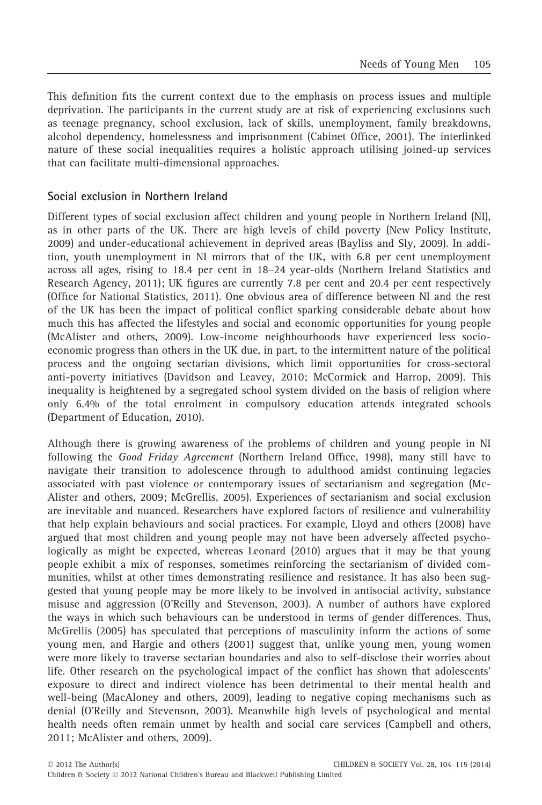This definition fits the current context due to the emphasis on process issues and multiple deprivation. The participants in the current study are at risk of experiencing exclusions such as teenage pregnancy, school exclusion, lack of skills, unemployment, family breakdowns, alcohol dependency, homelessness and imprisonment (Cabinet Office, 2001). The interlinked nature of these social inequalities requires a holistic approach utilising joined-up services that can facilitate multi-dimensional approaches.

## Social exclusion in Northern Ireland

Different types of social exclusion affect children and young people in Northern Ireland (NI), as in other parts of the UK. There are high levels of child poverty (New Policy Institute, 2009) and under-educational achievement in deprived areas (Bayliss and Sly, 2009). In addition, youth unemployment in NI mirrors that of the UK, with 6.8 per cent unemployment across all ages, rising to 18.4 per cent in 18–24 year-olds (Northern Ireland Statistics and Research Agency, 2011); UK figures are currently 7.8 per cent and 20.4 per cent respectively (Office for National Statistics, 2011). One obvious area of difference between NI and the rest of the UK has been the impact of political conflict sparking considerable debate about how much this has affected the lifestyles and social and economic opportunities for young people (McAlister and others, 2009). Low-income neighbourhoods have experienced less socioeconomic progress than others in the UK due, in part, to the intermittent nature of the political process and the ongoing sectarian divisions, which limit opportunities for cross-sectoral anti-poverty initiatives (Davidson and Leavey, 2010; McCormick and Harrop, 2009). This inequality is heightened by a segregated school system divided on the basis of religion where only 6.4% of the total enrolment in compulsory education attends integrated schools (Department of Education, 2010).

Although there is growing awareness of the problems of children and young people in NI following the Good Friday Agreement (Northern Ireland Office, 1998), many still have to navigate their transition to adolescence through to adulthood amidst continuing legacies associated with past violence or contemporary issues of sectarianism and segregation (Mc-Alister and others, 2009; McGrellis, 2005). Experiences of sectarianism and social exclusion are inevitable and nuanced. Researchers have explored factors of resilience and vulnerability that help explain behaviours and social practices. For example, Lloyd and others (2008) have argued that most children and young people may not have been adversely affected psychologically as might be expected, whereas Leonard (2010) argues that it may be that young people exhibit a mix of responses, sometimes reinforcing the sectarianism of divided communities, whilst at other times demonstrating resilience and resistance. It has also been suggested that young people may be more likely to be involved in antisocial activity, substance misuse and aggression (O'Reilly and Stevenson, 2003). A number of authors have explored the ways in which such behaviours can be understood in terms of gender differences. Thus, McGrellis (2005) has speculated that perceptions of masculinity inform the actions of some young men, and Hargie and others (2001) suggest that, unlike young men, young women were more likely to traverse sectarian boundaries and also to self-disclose their worries about life. Other research on the psychological impact of the conflict has shown that adolescents' exposure to direct and indirect violence has been detrimental to their mental health and well-being (MacAloney and others, 2009), leading to negative coping mechanisms such as denial (O'Reilly and Stevenson, 2003). Meanwhile high levels of psychological and mental health needs often remain unmet by health and social care services (Campbell and others, 2011; McAlister and others, 2009).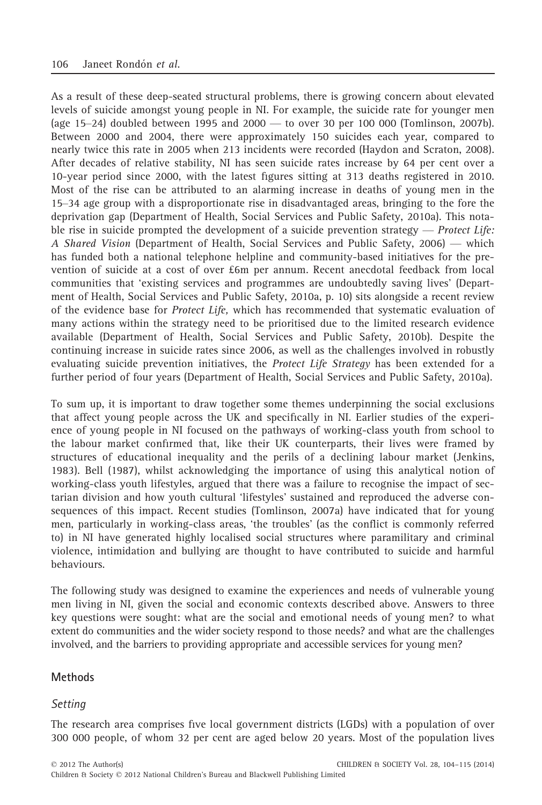As a result of these deep-seated structural problems, there is growing concern about elevated levels of suicide amongst young people in NI. For example, the suicide rate for younger men (age 15–24) doubled between 1995 and 2000 — to over 30 per 100 000 (Tomlinson, 2007b). Between 2000 and 2004, there were approximately 150 suicides each year, compared to nearly twice this rate in 2005 when 213 incidents were recorded (Haydon and Scraton, 2008). After decades of relative stability, NI has seen suicide rates increase by 64 per cent over a 10-year period since 2000, with the latest figures sitting at 313 deaths registered in 2010. Most of the rise can be attributed to an alarming increase in deaths of young men in the 15–34 age group with a disproportionate rise in disadvantaged areas, bringing to the fore the deprivation gap (Department of Health, Social Services and Public Safety, 2010a). This notable rise in suicide prompted the development of a suicide prevention strategy — *Protect Life*: A Shared Vision (Department of Health, Social Services and Public Safety, 2006) — which has funded both a national telephone helpline and community-based initiatives for the prevention of suicide at a cost of over £6m per annum. Recent anecdotal feedback from local communities that 'existing services and programmes are undoubtedly saving lives' (Department of Health, Social Services and Public Safety, 2010a, p. 10) sits alongside a recent review of the evidence base for Protect Life, which has recommended that systematic evaluation of many actions within the strategy need to be prioritised due to the limited research evidence available (Department of Health, Social Services and Public Safety, 2010b). Despite the continuing increase in suicide rates since 2006, as well as the challenges involved in robustly evaluating suicide prevention initiatives, the Protect Life Strategy has been extended for a further period of four years (Department of Health, Social Services and Public Safety, 2010a).

To sum up, it is important to draw together some themes underpinning the social exclusions that affect young people across the UK and specifically in NI. Earlier studies of the experience of young people in NI focused on the pathways of working-class youth from school to the labour market confirmed that, like their UK counterparts, their lives were framed by structures of educational inequality and the perils of a declining labour market (Jenkins, 1983). Bell (1987), whilst acknowledging the importance of using this analytical notion of working-class youth lifestyles, argued that there was a failure to recognise the impact of sectarian division and how youth cultural 'lifestyles' sustained and reproduced the adverse consequences of this impact. Recent studies (Tomlinson, 2007a) have indicated that for young men, particularly in working-class areas, 'the troubles' (as the conflict is commonly referred to) in NI have generated highly localised social structures where paramilitary and criminal violence, intimidation and bullying are thought to have contributed to suicide and harmful behaviours.

The following study was designed to examine the experiences and needs of vulnerable young men living in NI, given the social and economic contexts described above. Answers to three key questions were sought: what are the social and emotional needs of young men? to what extent do communities and the wider society respond to those needs? and what are the challenges involved, and the barriers to providing appropriate and accessible services for young men?

## Methods

#### Setting

The research area comprises five local government districts (LGDs) with a population of over 300 000 people, of whom 32 per cent are aged below 20 years. Most of the population lives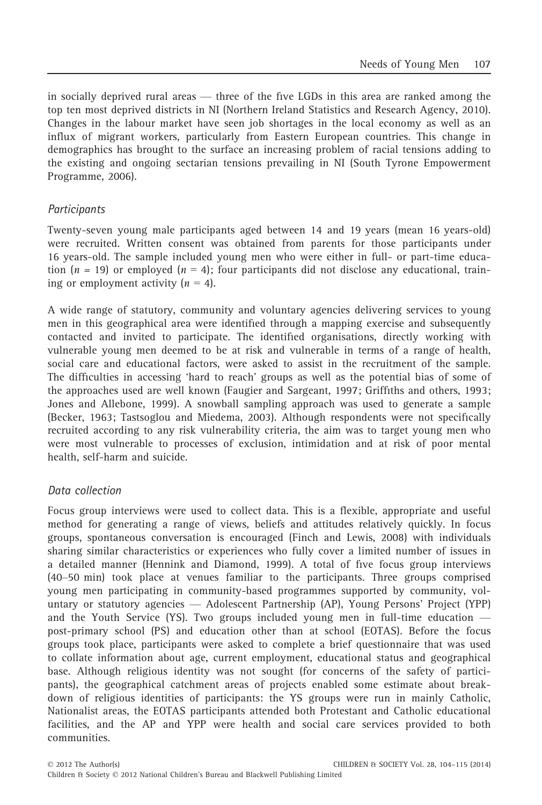in socially deprived rural areas — three of the five LGDs in this area are ranked among the top ten most deprived districts in NI (Northern Ireland Statistics and Research Agency, 2010). Changes in the labour market have seen job shortages in the local economy as well as an influx of migrant workers, particularly from Eastern European countries. This change in demographics has brought to the surface an increasing problem of racial tensions adding to the existing and ongoing sectarian tensions prevailing in NI (South Tyrone Empowerment Programme, 2006).

# **Participants**

Twenty-seven young male participants aged between 14 and 19 years (mean 16 years-old) were recruited. Written consent was obtained from parents for those participants under 16 years-old. The sample included young men who were either in full- or part-time education  $(n = 19)$  or employed  $(n = 4)$ ; four participants did not disclose any educational, training or employment activity  $(n = 4)$ .

A wide range of statutory, community and voluntary agencies delivering services to young men in this geographical area were identified through a mapping exercise and subsequently contacted and invited to participate. The identified organisations, directly working with vulnerable young men deemed to be at risk and vulnerable in terms of a range of health, social care and educational factors, were asked to assist in the recruitment of the sample. The difficulties in accessing 'hard to reach' groups as well as the potential bias of some of the approaches used are well known (Faugier and Sargeant, 1997; Griffiths and others, 1993; Jones and Allebone, 1999). A snowball sampling approach was used to generate a sample (Becker, 1963; Tastsoglou and Miedema, 2003). Although respondents were not specifically recruited according to any risk vulnerability criteria, the aim was to target young men who were most vulnerable to processes of exclusion, intimidation and at risk of poor mental health, self-harm and suicide.

## Data collection

Focus group interviews were used to collect data. This is a flexible, appropriate and useful method for generating a range of views, beliefs and attitudes relatively quickly. In focus groups, spontaneous conversation is encouraged (Finch and Lewis, 2008) with individuals sharing similar characteristics or experiences who fully cover a limited number of issues in a detailed manner (Hennink and Diamond, 1999). A total of five focus group interviews (40–50 min) took place at venues familiar to the participants. Three groups comprised young men participating in community-based programmes supported by community, voluntary or statutory agencies — Adolescent Partnership (AP), Young Persons' Project (YPP) and the Youth Service (YS). Two groups included young men in full-time education post-primary school (PS) and education other than at school (EOTAS). Before the focus groups took place, participants were asked to complete a brief questionnaire that was used to collate information about age, current employment, educational status and geographical base. Although religious identity was not sought (for concerns of the safety of participants), the geographical catchment areas of projects enabled some estimate about breakdown of religious identities of participants: the YS groups were run in mainly Catholic, Nationalist areas, the EOTAS participants attended both Protestant and Catholic educational facilities, and the AP and YPP were health and social care services provided to both communities.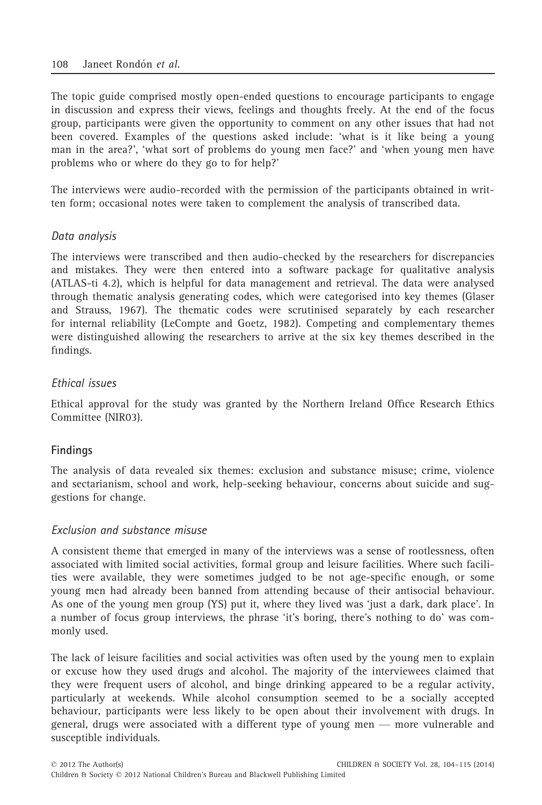The topic guide comprised mostly open-ended questions to encourage participants to engage in discussion and express their views, feelings and thoughts freely. At the end of the focus group, participants were given the opportunity to comment on any other issues that had not been covered. Examples of the questions asked include: 'what is it like being a young man in the area?', 'what sort of problems do young men face?' and 'when young men have problems who or where do they go to for help?'

The interviews were audio-recorded with the permission of the participants obtained in written form; occasional notes were taken to complement the analysis of transcribed data.

# Data analysis

The interviews were transcribed and then audio-checked by the researchers for discrepancies and mistakes. They were then entered into a software package for qualitative analysis (ATLAS-ti 4.2), which is helpful for data management and retrieval. The data were analysed through thematic analysis generating codes, which were categorised into key themes (Glaser and Strauss, 1967). The thematic codes were scrutinised separately by each researcher for internal reliability (LeCompte and Goetz, 1982). Competing and complementary themes were distinguished allowing the researchers to arrive at the six key themes described in the findings.

# Ethical issues

Ethical approval for the study was granted by the Northern Ireland Office Research Ethics Committee (NIR03).

# Findings

The analysis of data revealed six themes: exclusion and substance misuse; crime, violence and sectarianism, school and work, help-seeking behaviour, concerns about suicide and suggestions for change.

## Exclusion and substance misuse

A consistent theme that emerged in many of the interviews was a sense of rootlessness, often associated with limited social activities, formal group and leisure facilities. Where such facilities were available, they were sometimes judged to be not age-specific enough, or some young men had already been banned from attending because of their antisocial behaviour. As one of the young men group (YS) put it, where they lived was 'just a dark, dark place'. In a number of focus group interviews, the phrase 'it's boring, there's nothing to do' was commonly used.

The lack of leisure facilities and social activities was often used by the young men to explain or excuse how they used drugs and alcohol. The majority of the interviewees claimed that they were frequent users of alcohol, and binge drinking appeared to be a regular activity, particularly at weekends. While alcohol consumption seemed to be a socially accepted behaviour, participants were less likely to be open about their involvement with drugs. In general, drugs were associated with a different type of young men — more vulnerable and susceptible individuals.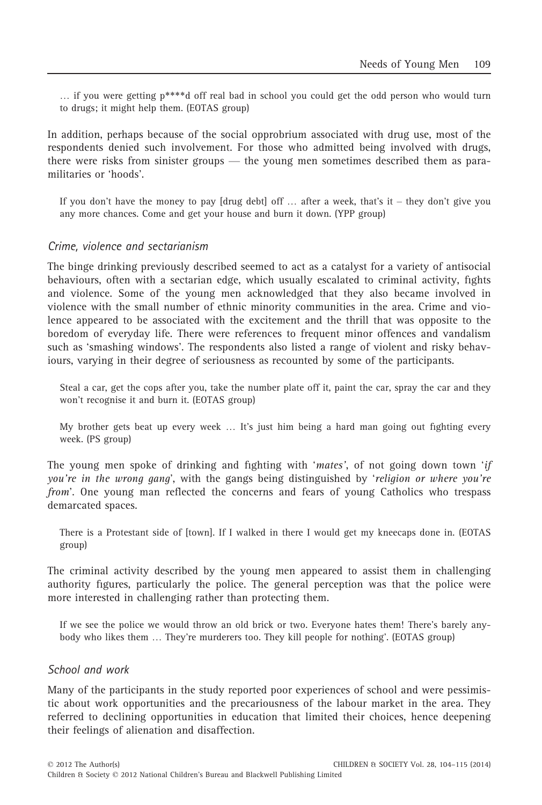… if you were getting p\*\*\*\*d off real bad in school you could get the odd person who would turn to drugs; it might help them. (EOTAS group)

In addition, perhaps because of the social opprobrium associated with drug use, most of the respondents denied such involvement. For those who admitted being involved with drugs, there were risks from sinister groups — the young men sometimes described them as paramilitaries or 'hoods'.

If you don't have the money to pay [drug debt] off  $\ldots$  after a week, that's it – they don't give you any more chances. Come and get your house and burn it down. (YPP group)

#### Crime, violence and sectarianism

The binge drinking previously described seemed to act as a catalyst for a variety of antisocial behaviours, often with a sectarian edge, which usually escalated to criminal activity, fights and violence. Some of the young men acknowledged that they also became involved in violence with the small number of ethnic minority communities in the area. Crime and violence appeared to be associated with the excitement and the thrill that was opposite to the boredom of everyday life. There were references to frequent minor offences and vandalism such as 'smashing windows'. The respondents also listed a range of violent and risky behaviours, varying in their degree of seriousness as recounted by some of the participants.

Steal a car, get the cops after you, take the number plate off it, paint the car, spray the car and they won't recognise it and burn it. (EOTAS group)

My brother gets beat up every week … It's just him being a hard man going out fighting every week. (PS group)

The young men spoke of drinking and fighting with 'mates', of not going down town 'if you're in the wrong gang', with the gangs being distinguished by 'religion or where you're from'. One young man reflected the concerns and fears of young Catholics who trespass demarcated spaces.

There is a Protestant side of [town]. If I walked in there I would get my kneecaps done in. (EOTAS group)

The criminal activity described by the young men appeared to assist them in challenging authority figures, particularly the police. The general perception was that the police were more interested in challenging rather than protecting them.

If we see the police we would throw an old brick or two. Everyone hates them! There's barely anybody who likes them … They're murderers too. They kill people for nothing'. (EOTAS group)

#### School and work

Many of the participants in the study reported poor experiences of school and were pessimistic about work opportunities and the precariousness of the labour market in the area. They referred to declining opportunities in education that limited their choices, hence deepening their feelings of alienation and disaffection.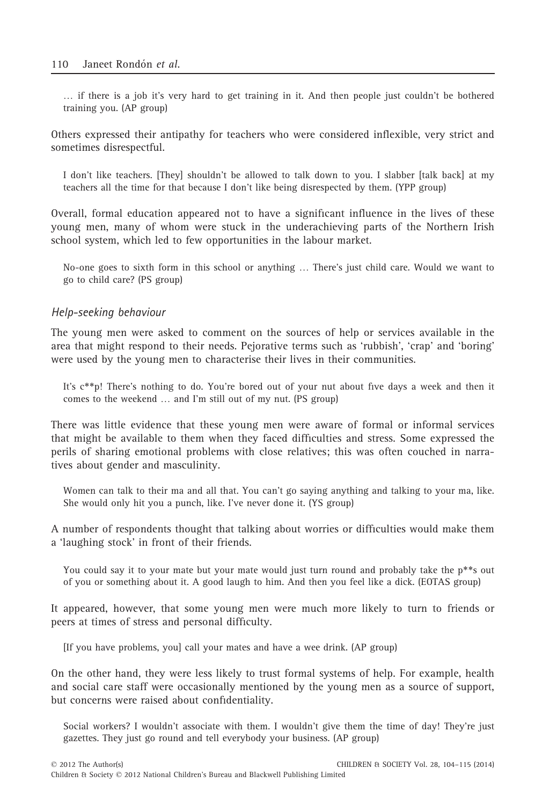… if there is a job it's very hard to get training in it. And then people just couldn't be bothered training you. (AP group)

Others expressed their antipathy for teachers who were considered inflexible, very strict and sometimes disrespectful.

I don't like teachers. [They] shouldn't be allowed to talk down to you. I slabber [talk back] at my teachers all the time for that because I don't like being disrespected by them. (YPP group)

Overall, formal education appeared not to have a significant influence in the lives of these young men, many of whom were stuck in the underachieving parts of the Northern Irish school system, which led to few opportunities in the labour market.

No-one goes to sixth form in this school or anything … There's just child care. Would we want to go to child care? (PS group)

#### Help-seeking behaviour

The young men were asked to comment on the sources of help or services available in the area that might respond to their needs. Pejorative terms such as 'rubbish', 'crap' and 'boring' were used by the young men to characterise their lives in their communities.

It's c\*\*p! There's nothing to do. You're bored out of your nut about five days a week and then it comes to the weekend … and I'm still out of my nut. (PS group)

There was little evidence that these young men were aware of formal or informal services that might be available to them when they faced difficulties and stress. Some expressed the perils of sharing emotional problems with close relatives; this was often couched in narratives about gender and masculinity.

Women can talk to their ma and all that. You can't go saying anything and talking to your ma, like. She would only hit you a punch, like. I've never done it. (YS group)

A number of respondents thought that talking about worries or difficulties would make them a 'laughing stock' in front of their friends.

You could say it to your mate but your mate would just turn round and probably take the p\*\*s out of you or something about it. A good laugh to him. And then you feel like a dick. (EOTAS group)

It appeared, however, that some young men were much more likely to turn to friends or peers at times of stress and personal difficulty.

[If you have problems, you] call your mates and have a wee drink. (AP group)

On the other hand, they were less likely to trust formal systems of help. For example, health and social care staff were occasionally mentioned by the young men as a source of support, but concerns were raised about confidentiality.

Social workers? I wouldn't associate with them. I wouldn't give them the time of day! They're just gazettes. They just go round and tell everybody your business. (AP group)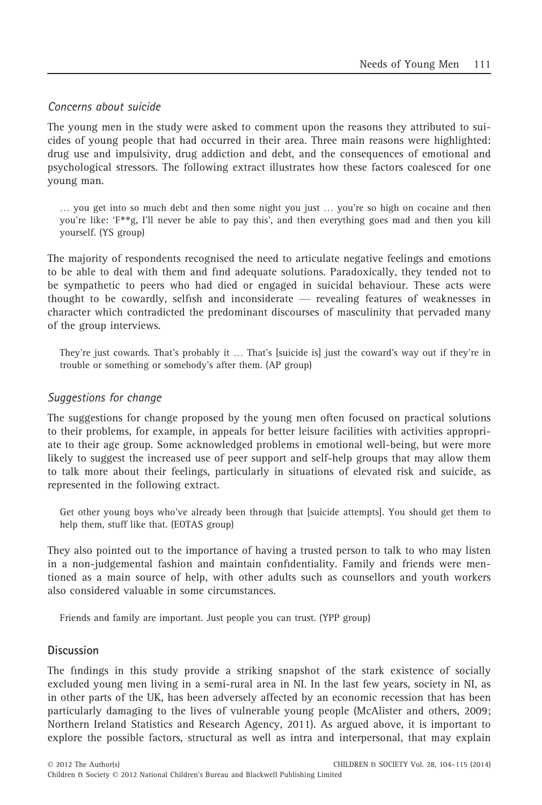# Concerns about suicide

The young men in the study were asked to comment upon the reasons they attributed to suicides of young people that had occurred in their area. Three main reasons were highlighted: drug use and impulsivity, drug addiction and debt, and the consequences of emotional and psychological stressors. The following extract illustrates how these factors coalesced for one young man.

… you get into so much debt and then some night you just … you're so high on cocaine and then you're like: 'F\*\*g, I'll never be able to pay this', and then everything goes mad and then you kill yourself. (YS group)

The majority of respondents recognised the need to articulate negative feelings and emotions to be able to deal with them and find adequate solutions. Paradoxically, they tended not to be sympathetic to peers who had died or engaged in suicidal behaviour. These acts were thought to be cowardly, selfish and inconsiderate — revealing features of weaknesses in character which contradicted the predominant discourses of masculinity that pervaded many of the group interviews.

They're just cowards. That's probably it … That's [suicide is] just the coward's way out if they're in trouble or something or somebody's after them. (AP group)

## Suggestions for change

The suggestions for change proposed by the young men often focused on practical solutions to their problems, for example, in appeals for better leisure facilities with activities appropriate to their age group. Some acknowledged problems in emotional well-being, but were more likely to suggest the increased use of peer support and self-help groups that may allow them to talk more about their feelings, particularly in situations of elevated risk and suicide, as represented in the following extract.

Get other young boys who've already been through that [suicide attempts]. You should get them to help them, stuff like that. (EOTAS group)

They also pointed out to the importance of having a trusted person to talk to who may listen in a non-judgemental fashion and maintain confidentiality. Family and friends were mentioned as a main source of help, with other adults such as counsellors and youth workers also considered valuable in some circumstances.

Friends and family are important. Just people you can trust. (YPP group)

# Discussion

The findings in this study provide a striking snapshot of the stark existence of socially excluded young men living in a semi-rural area in NI. In the last few years, society in NI, as in other parts of the UK, has been adversely affected by an economic recession that has been particularly damaging to the lives of vulnerable young people (McAlister and others, 2009; Northern Ireland Statistics and Research Agency, 2011). As argued above, it is important to explore the possible factors, structural as well as intra and interpersonal, that may explain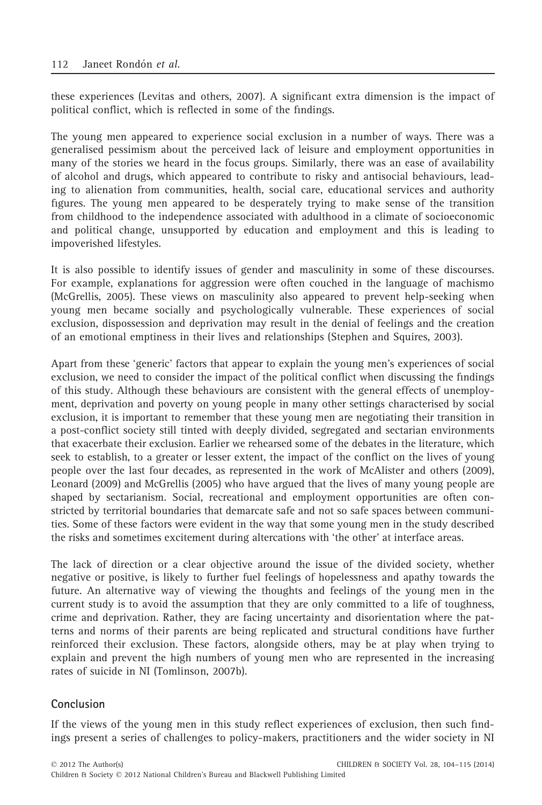these experiences (Levitas and others, 2007). A significant extra dimension is the impact of political conflict, which is reflected in some of the findings.

The young men appeared to experience social exclusion in a number of ways. There was a generalised pessimism about the perceived lack of leisure and employment opportunities in many of the stories we heard in the focus groups. Similarly, there was an ease of availability of alcohol and drugs, which appeared to contribute to risky and antisocial behaviours, leading to alienation from communities, health, social care, educational services and authority figures. The young men appeared to be desperately trying to make sense of the transition from childhood to the independence associated with adulthood in a climate of socioeconomic and political change, unsupported by education and employment and this is leading to impoverished lifestyles.

It is also possible to identify issues of gender and masculinity in some of these discourses. For example, explanations for aggression were often couched in the language of machismo (McGrellis, 2005). These views on masculinity also appeared to prevent help-seeking when young men became socially and psychologically vulnerable. These experiences of social exclusion, dispossession and deprivation may result in the denial of feelings and the creation of an emotional emptiness in their lives and relationships (Stephen and Squires, 2003).

Apart from these 'generic' factors that appear to explain the young men's experiences of social exclusion, we need to consider the impact of the political conflict when discussing the findings of this study. Although these behaviours are consistent with the general effects of unemployment, deprivation and poverty on young people in many other settings characterised by social exclusion, it is important to remember that these young men are negotiating their transition in a post-conflict society still tinted with deeply divided, segregated and sectarian environments that exacerbate their exclusion. Earlier we rehearsed some of the debates in the literature, which seek to establish, to a greater or lesser extent, the impact of the conflict on the lives of young people over the last four decades, as represented in the work of McAlister and others (2009), Leonard (2009) and McGrellis (2005) who have argued that the lives of many young people are shaped by sectarianism. Social, recreational and employment opportunities are often constricted by territorial boundaries that demarcate safe and not so safe spaces between communities. Some of these factors were evident in the way that some young men in the study described the risks and sometimes excitement during altercations with 'the other' at interface areas.

The lack of direction or a clear objective around the issue of the divided society, whether negative or positive, is likely to further fuel feelings of hopelessness and apathy towards the future. An alternative way of viewing the thoughts and feelings of the young men in the current study is to avoid the assumption that they are only committed to a life of toughness, crime and deprivation. Rather, they are facing uncertainty and disorientation where the patterns and norms of their parents are being replicated and structural conditions have further reinforced their exclusion. These factors, alongside others, may be at play when trying to explain and prevent the high numbers of young men who are represented in the increasing rates of suicide in NI (Tomlinson, 2007b).

# Conclusion

If the views of the young men in this study reflect experiences of exclusion, then such findings present a series of challenges to policy-makers, practitioners and the wider society in NI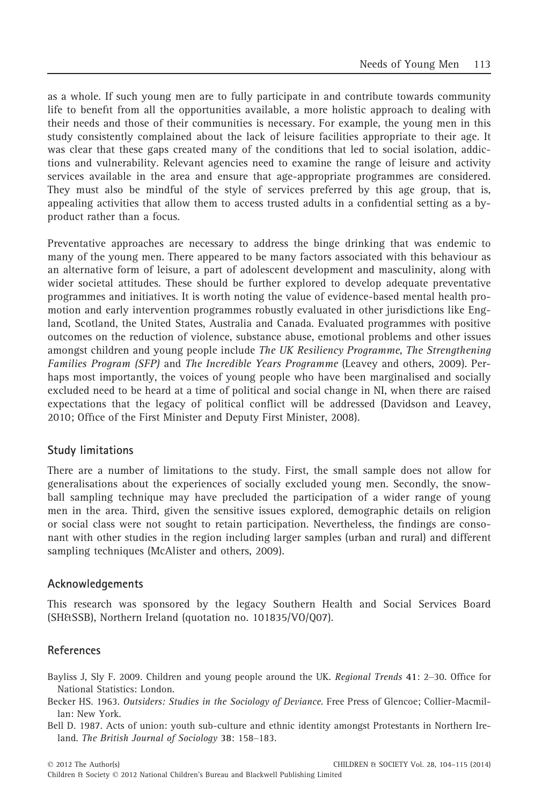as a whole. If such young men are to fully participate in and contribute towards community life to benefit from all the opportunities available, a more holistic approach to dealing with their needs and those of their communities is necessary. For example, the young men in this study consistently complained about the lack of leisure facilities appropriate to their age. It was clear that these gaps created many of the conditions that led to social isolation, addictions and vulnerability. Relevant agencies need to examine the range of leisure and activity services available in the area and ensure that age-appropriate programmes are considered. They must also be mindful of the style of services preferred by this age group, that is, appealing activities that allow them to access trusted adults in a confidential setting as a byproduct rather than a focus.

Preventative approaches are necessary to address the binge drinking that was endemic to many of the young men. There appeared to be many factors associated with this behaviour as an alternative form of leisure, a part of adolescent development and masculinity, along with wider societal attitudes. These should be further explored to develop adequate preventative programmes and initiatives. It is worth noting the value of evidence-based mental health promotion and early intervention programmes robustly evaluated in other jurisdictions like England, Scotland, the United States, Australia and Canada. Evaluated programmes with positive outcomes on the reduction of violence, substance abuse, emotional problems and other issues amongst children and young people include The UK Resiliency Programme, The Strengthening Families Program (SFP) and The Incredible Years Programme (Leavey and others, 2009). Perhaps most importantly, the voices of young people who have been marginalised and socially excluded need to be heard at a time of political and social change in NI, when there are raised expectations that the legacy of political conflict will be addressed (Davidson and Leavey, 2010; Office of the First Minister and Deputy First Minister, 2008).

## Study limitations

There are a number of limitations to the study. First, the small sample does not allow for generalisations about the experiences of socially excluded young men. Secondly, the snowball sampling technique may have precluded the participation of a wider range of young men in the area. Third, given the sensitive issues explored, demographic details on religion or social class were not sought to retain participation. Nevertheless, the findings are consonant with other studies in the region including larger samples (urban and rural) and different sampling techniques (McAlister and others, 2009).

## Acknowledgements

This research was sponsored by the legacy Southern Health and Social Services Board (SH&SSB), Northern Ireland (quotation no. 101835/VO/Q07).

## References

- Bayliss J, Sly F. 2009. Children and young people around the UK. Regional Trends 41: 2–30. Office for National Statistics: London.
- Becker HS. 1963. Outsiders: Studies in the Sociology of Deviance. Free Press of Glencoe; Collier-Macmillan: New York.
- Bell D. 1987. Acts of union: youth sub-culture and ethnic identity amongst Protestants in Northern Ireland. The British Journal of Sociology 38: 158–183.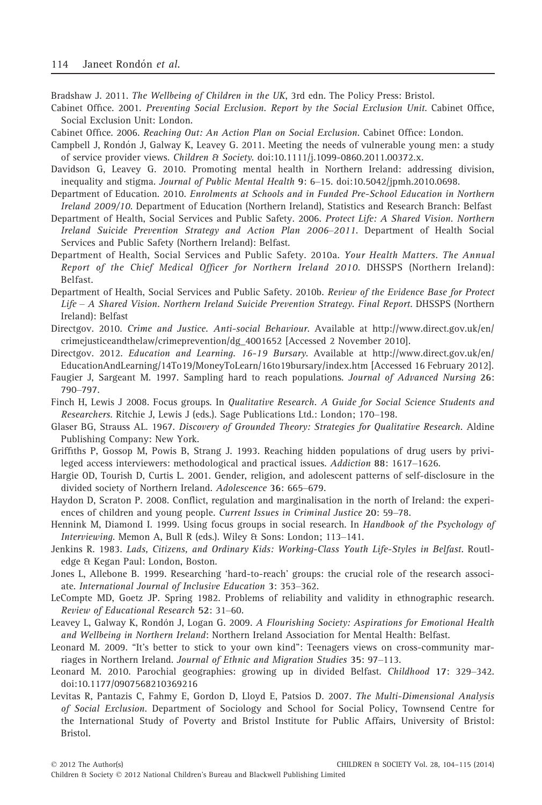Bradshaw J. 2011. The Wellbeing of Children in the UK, 3rd edn. The Policy Press: Bristol.

Cabinet Office. 2001. Preventing Social Exclusion. Report by the Social Exclusion Unit. Cabinet Office, Social Exclusion Unit: London.

Cabinet Office. 2006. Reaching Out: An Action Plan on Social Exclusion. Cabinet Office: London.

- Campbell J, Rondón J, Galway K, Leavey G. 2011. Meeting the needs of vulnerable young men: a study of service provider views. Children & Society. doi:10.1111/j.1099-0860.2011.00372.x.
- Davidson G, Leavey G. 2010. Promoting mental health in Northern Ireland: addressing division, inequality and stigma. Journal of Public Mental Health 9: 6–15. doi:10.5042/jpmh.2010.0698.
- Department of Education. 2010. Enrolments at Schools and in Funded Pre-School Education in Northern Ireland 2009/10. Department of Education (Northern Ireland), Statistics and Research Branch: Belfast
- Department of Health, Social Services and Public Safety. 2006. Protect Life: A Shared Vision. Northern Ireland Suicide Prevention Strategy and Action Plan 2006–2011. Department of Health Social Services and Public Safety (Northern Ireland): Belfast.
- Department of Health, Social Services and Public Safety. 2010a. Your Health Matters. The Annual Report of the Chief Medical Officer for Northern Ireland 2010. DHSSPS (Northern Ireland): Belfast.
- Department of Health, Social Services and Public Safety. 2010b. Review of the Evidence Base for Protect Life – A Shared Vision. Northern Ireland Suicide Prevention Strategy. Final Report. DHSSPS (Northern Ireland): Belfast
- Directgov. 2010. Crime and Justice. Anti-social Behaviour. Available at http://www.direct.gov.uk/en/ crimejusticeandthelaw/crimeprevention/dg\_4001652 [Accessed 2 November 2010].
- Directgov. 2012. Education and Learning. 16-19 Bursary. Available at http://www.direct.gov.uk/en/ EducationAndLearning/14To19/MoneyToLearn/16to19bursary/index.htm [Accessed 16 February 2012].
- Faugier J, Sargeant M. 1997. Sampling hard to reach populations. Journal of Advanced Nursing 26: 790–797.
- Finch H, Lewis J 2008. Focus groups. In Qualitative Research. A Guide for Social Science Students and Researchers. Ritchie J, Lewis J (eds.). Sage Publications Ltd.: London; 170–198.
- Glaser BG, Strauss AL. 1967. Discovery of Grounded Theory: Strategies for Qualitative Research. Aldine Publishing Company: New York.
- Griffiths P, Gossop M, Powis B, Strang J. 1993. Reaching hidden populations of drug users by privileged access interviewers: methodological and practical issues. Addiction 88: 1617–1626.
- Hargie OD, Tourish D, Curtis L. 2001. Gender, religion, and adolescent patterns of self-disclosure in the divided society of Northern Ireland. Adolescence 36: 665–679.
- Haydon D, Scraton P. 2008. Conflict, regulation and marginalisation in the north of Ireland: the experiences of children and young people. Current Issues in Criminal Justice 20: 59–78.
- Hennink M, Diamond I. 1999. Using focus groups in social research. In Handbook of the Psychology of Interviewing. Memon A, Bull R (eds.). Wiley & Sons: London; 113–141.
- Jenkins R. 1983. Lads, Citizens, and Ordinary Kids: Working-Class Youth Life-Styles in Belfast. Routledge & Kegan Paul: London, Boston.
- Jones L, Allebone B. 1999. Researching 'hard-to-reach' groups: the crucial role of the research associate. International Journal of Inclusive Education 3: 353–362.
- LeCompte MD, Goetz JP. Spring 1982. Problems of reliability and validity in ethnographic research. Review of Educational Research 52: 31–60.
- Leavey L, Galway K, Rondón J, Logan G. 2009. A Flourishing Society: Aspirations for Emotional Health and Wellbeing in Northern Ireland: Northern Ireland Association for Mental Health: Belfast.
- Leonard M. 2009. "It's better to stick to your own kind": Teenagers views on cross-community marriages in Northern Ireland. Journal of Ethnic and Migration Studies 35: 97–113.
- Leonard M. 2010. Parochial geographies: growing up in divided Belfast. Childhood 17: 329–342. doi:10.1177/0907568210369216
- Levitas R, Pantazis C, Fahmy E, Gordon D, Lloyd E, Patsios D. 2007. The Multi-Dimensional Analysis of Social Exclusion. Department of Sociology and School for Social Policy, Townsend Centre for the International Study of Poverty and Bristol Institute for Public Affairs, University of Bristol: Bristol.